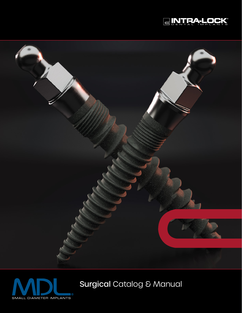





Surgical Catalog & Manual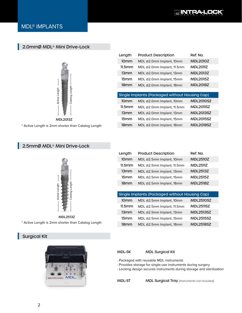

### 2.0mmØ MDL® Mini Drive-Lock



| 10mm             | MDL Ø2.0mm Implant, 10mm                       | <b>MDL2010Z</b>  |
|------------------|------------------------------------------------|------------------|
| 11.5mm           | MDL Ø2.0mm Implant, 11.5mm                     | <b>MDL2011Z</b>  |
| 13mm             | MDL Ø2.0mm Implant, 13mm                       | <b>MDL2013Z</b>  |
| 15mm             | MDL Ø2.0mm Implant, 15mm                       | <b>MDL2015Z</b>  |
| 18 <sub>mm</sub> | MDL Ø2.0mm Implant, 18mm                       | <b>MDL2018Z</b>  |
|                  |                                                |                  |
|                  |                                                |                  |
|                  | Single Implants (Packaged without Housing Cap) |                  |
| 10 <sub>mm</sub> | MDL Ø2.0mm Implant, 10mm                       | <b>MDL2010SZ</b> |
| 11.5mm           | MDL Ø2.0mm Implant, 11.5mm                     | <b>MDL2011SZ</b> |
| 13mm             | MDL Ø2.0mm Implant, 13mm                       | <b>MDL2013SZ</b> |
| 15 <sub>mm</sub> | MDL Ø2.0mm Implant, 15mm                       | <b>MDL2015SZ</b> |

Length Product Description Ref. No.

\* Active Length is 2mm shorter than Catalog Length

### 2.5mmØ MDL® Mini Drive-Lock



MDL2513Z

\* Active Length is 2mm shorter than Catalog Length

### Surgical Kit



| Length                                         | <b>Product Description</b> | Ref. No.         |
|------------------------------------------------|----------------------------|------------------|
| 10 <sub>mm</sub>                               | MDL Ø2.5mm Implant, 10mm   | <b>MDL2510Z</b>  |
| $11.5$ mm                                      | MDL Ø2.5mm Implant, 11.5mm | <b>MDL2511Z</b>  |
| 13mm                                           | MDL Ø2.5mm Implant, 13mm   | <b>MDL2513Z</b>  |
| 15 <sub>mm</sub>                               | MDL Ø2.5mm Implant, 15mm   | <b>MDL2515Z</b>  |
| 18 <sub>mm</sub>                               | MDL Ø2.5mm Implant, 18mm   | <b>MDL2518Z</b>  |
|                                                |                            |                  |
| Single Implants (Packaged without Housing Cap) |                            |                  |
| 10 <sub>mm</sub>                               | MDL Ø2.5mm Implant, 10mm   | <b>MDL2510SZ</b> |
| $11.5$ mm                                      | MDL Ø2.5mm Implant, 11.5mm | <b>MDL2511SZ</b> |
| 13mm                                           | MDL Ø2.5mm Implant, 13mm   | <b>MDL2513SZ</b> |
|                                                |                            |                  |

15mm MDL Ø2.5mm Implant, 15mm MDL2515SZ 18mm MDL Ø2.5mm Implant, 18mm MDL2518SZ

#### MDL-SK MDL Surgical Kit

· Packaged with reusable MDL instruments

- · Provides storage for single-use instruments during surgery
- · Locking design secures instruments during storage and sterilization

MDL-ST MDL Surgical Tray *(Instruments not included)*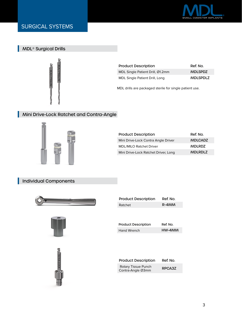

# SURGICAL SYSTEMS

# MDL® Surgical Drills



| <b>Product Description</b>            | Ref. No.        |
|---------------------------------------|-----------------|
| MDL Single Patient Drill, Ø1.2mm      | <b>MDLSPDZ</b>  |
| <b>MDL Single Patient Drill, Long</b> | <b>MDLSPDLZ</b> |

MDL drills are packaged sterile for single patient use.

# Mini Drive-Lock Ratchet and Contra-Angle



| <b>Product Description</b>           | Ref. No.       |
|--------------------------------------|----------------|
| Mini Drive-Lock Contra Angle Driver  | <b>MDLCADZ</b> |
| <b>MDL/MILO Ratchet Driver</b>       | <b>MDLRDZ</b>  |
| Mini Drive-Lock Ratchet Driver, Long | <b>MDLRDLZ</b> |

### Individual Components





 $\frac{1}{2}$  MIRA-LOCK



| <b>Product Description</b> | Ref. No. |
|----------------------------|----------|
| <b>Hand Wrench</b>         | HW-4MM   |

| <b>Product Description</b>               | Ref. No. |
|------------------------------------------|----------|
| Rotary Tissue Punch<br>Contra-Angle Ø3mm | RPCA3Z   |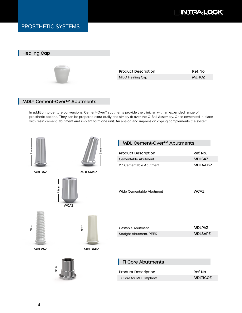

# PROSTHETIC SYSTEMS

### Healing Cap



| <b>Product Description</b> | Ref. No.     |
|----------------------------|--------------|
| MILO Healing Cap           | <b>MLHCZ</b> |

### MDL® Cement-Over™ Abutments

In addition to denture conversions, Cement-Over™ abutments provide the clinician with an expanded range of prosthetic options. They can be prepared extra-orally and simply fit over the O-Ball Assembly. Once cemented in place with resin cement, abutment and implant form one unit. An analog and impression coping complements the system.

|                  |                                  | MDL Cement-Over™ Abutments                             |                 |
|------------------|----------------------------------|--------------------------------------------------------|-----------------|
| 9 <sub>mm</sub>  | 9mm                              | <b>Product Description</b>                             | Ref. No.        |
|                  |                                  | <b>Cementable Abutment</b>                             | <b>MDLSAZ</b>   |
|                  |                                  | 15° Cementable Abutment                                | MDLAA15Z        |
| <b>MDLSAZ</b>    | MDLAA15Z                         |                                                        |                 |
|                  | 7.3 <sub>mm</sub><br><b>WCAZ</b> | <b>Wide Cementable Abutment</b>                        | <b>WCAZ</b>     |
| 10 <sub>mm</sub> | 9mm                              | <b>Castable Abutment</b>                               | <b>MDLPAZ</b>   |
|                  |                                  | Straight Abutment, PEEK                                | <b>MDLSAPZ</b>  |
|                  |                                  |                                                        |                 |
| <b>MDLPAZ</b>    | <b>MDLSAPZ</b>                   |                                                        |                 |
| 4mm              |                                  | <b>Ti Core Abutments</b><br><b>Product Description</b> | Ref. No.        |
|                  |                                  | Ti Core for MDL Implants                               | <b>MDLTICOZ</b> |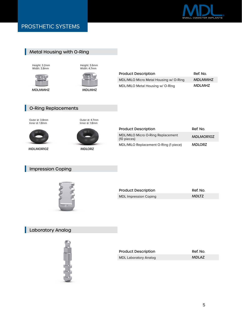

### Metal Housing with O-Ring

Height: 3.2mm Width: 3.8mm



MDLMMHZ MDLMHZ



| Product Description                    | Ref. No.       |
|----------------------------------------|----------------|
| MDL/MILO Micro Metal Housing w/ O-Ring | <b>MDLMMHZ</b> |
| MDL/MILO Metal Housing w/ O-Ring       | <b>MDLMHZ</b>  |

# O-Ring Replacements

Outer Ø: 3.8mm Inner Ø: 1.8mm





Outer Ø: 4.7mm

MDLMOR10Z MDLORZ

| <b>Product Description</b>                         | Ref. No.         |
|----------------------------------------------------|------------------|
| MDL/MILO Micro O-Ring Replacement<br>$(10$ pieces) | <b>MDLMORIOZ</b> |
| MDL/MILO Replacement O-Ring (1 piece)              | <b>MDLORZ</b>    |

## Impression Coping



| <b>Product Description</b> | Ref. No.     |
|----------------------------|--------------|
| MDL Impression Coping      | <b>MDLTZ</b> |

# Laboratory Analog



| <b>Product Description</b> |  |
|----------------------------|--|
| MDL Laboratory Analog      |  |

Ref. No. **MDLAZ**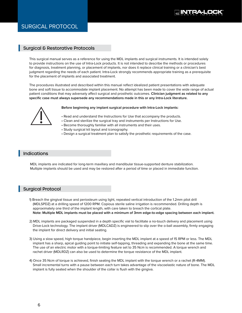#### Surgical & Restorative Protocols

This surgical manual serves as a reference for using the MDL implants and surgical instruments. It is intended solely to provide instructions on the use of Intra-Lock products. It is not intended to describe the methods or procedures for diagnosis, treatment planning, or placement of implants, nor does it replace clinical training or a clinician's best judgment regarding the needs of each patient. Intra-Lock strongly recommends appropriate training as a prerequisite for the placement of implants and associated treatment.

The procedures illustrated and described within this manual reflect idealized patient presentations with adequate bone and soft tissue to accommodate implant placement. No attempt has been made to cover the wide range of actual patient conditions that may adversely affect surgical and prosthetic outcomes. **Clinician judgment as related to any specific case must always supersede any recommendations made in this or any Intra-Lock literature.**



#### **Before beginning any implant surgical procedure with Intra-Lock implants:**

- Read and understand the Instructions for Use that accompany the products.
- Clean and sterilize the surgical tray and instruments per Instructions for Use.
- Become thoroughly familiar with all instruments and their uses.
- Study surgical kit layout and iconography.
- Design a surgical treatment plan to satisfy the prosthetic requirements of the case.

#### **Indications**

MDL implants are indicated for long-term maxillary and mandibular tissue-supported denture stabilization. Multiple implants should be used and may be restored after a period of time or placed in immediate function.

#### Surgical Protocol

- 1) Breach the gingival tissue and periosteum using light, repeated vertical introduction of the 1.2mm pilot drill (MDLSPDZ) at a drilling speed of 1200 RPM. Copious sterile saline irrigation is recommended. Drilling depth is approximately one third of the implant length, with care taken to breach the cortical plate. **Note: Multiple MDL implants must be placed with a minimum of 3mm edge-to-edge spacing between each implant.**
- 2) MDL implants are packaged suspended in a depth specific vial to facilitate a no-touch delivery and placement using Drive-Lock technology. The implant driver (MDLCADZ) is engineered to slip over the o-ball assembly, firmly engaging the implant for direct delivery and initial seating.
- 3) Using a slow speed, high torque handpiece, begin inserting the MDL implant at a speed of 15 RPM or less. The MDL implant has a sharp, apical guiding point to initiate self-tapping, threading and expanding the bone at the same time. The use of an electric motor with a torque-limiting feature set to 35 Ncm is recommended. A torque wrench and rachet driver (MDLRDZ) can also be used to determine the torque resistance of the MDL implant.
- 4) Once 35 Ncm of torque is achieved, finish seating the MDL implant with the torque wrench or a rachet (R-4MM). Small incremental turns with a pause between each turn takes advantage of the viscoelastic nature of bone. The MDL implant is fully seated when the shoulder of the collar is flush with the gingiva.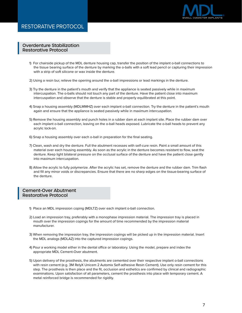

#### Overdenture Stabilization Restorative Protocol

- 1) For chairside pickup of the MDL denture housing cap, transfer the position of the implant o-ball connections to the tissue bearing surface of the denture by marking the o-balls with a soft lead pencil or capturing their impression with a strip of soft silicone or wax inside the denture.
- 2) Using a resin bur, relieve the opening around the o-ball impressions or lead markings in the denture.
- 3) Try the denture in the patient's mouth and verify that the appliance is seated passively while in maximum intercuspation. The o-balls should not touch any part of the denture. Have the patient close into maximum intercuspation and observe that the denture is stable and properly equilibrated at this point.
- 4) Snap a housing assembly (MDLMMHZ) over each implant o-ball connection. Try the denture in the patient's mouth again and ensure that the appliance is seated passively while in maximum intercuspation.
- 5) Remove the housing assembly and punch holes in a rubber dam at each implant site. Place the rubber dam over each implant o-ball connection, leaving on the o-ball heads exposed. Lubricate the o-ball heads to prevent any acrylic lock-on.
- 6) Snap a housing assembly over each o-ball in preparation for the final seating.
- 7) Clean, wash and dry the denture. Full the abutment recesses with self-cure resin. Paint a small amount of this material over each housing assembly. As soon as the acrylic in the denture becomes resistant to flow, seat the denture. Keep light bilateral pressure on the occlusal surface of the denture and have the patient close gently into maximum intercuspation.
- 8) Allow the acrylic to fully polymerize. After the acrylic has set, remove the denture and the rubber dam. Trim flash and fill any minor voids or discrepancies. Ensure that there are no sharp edges on the tissue-bearing surface of the denture.

#### Cement-Over Abutment Restorative Protocol

- 1) Place an MDL impression coping (MDLTZ) over each implant o-ball connection.
- 2) Load an impression tray, preferably with a monophase impression material. The impression tray is placed in mouth over the impression copings for the amount of time recommended by the impression material manufacturer.
- 3) When removing the impression tray, the impression copings will be picked up in the impression material. Insert the MDL analogs (MDLAZ) into the captured impression copings.
- 4) Pour a working model either in the dental office or laboratory. Using the model, prepare and index the appropriate MDL Cement-Over abutment.
- 5) Upon delivery of the prosthesis, the abutments are cemented over their respective implant o-ball connections with resin cement (e.g. 3M RelyX Unicem 2 Automix Self-adhesive Resin Cement). Use only resin cement for this step. The prosthesis is then place and the fit, occlusion and esthetics are confirmed by clinical and radiographic examinations. Upon satisfaction of all parameters, cement the prosthesis into place with temporary cement. A metal reinforced bridge is recommended for rigidity.